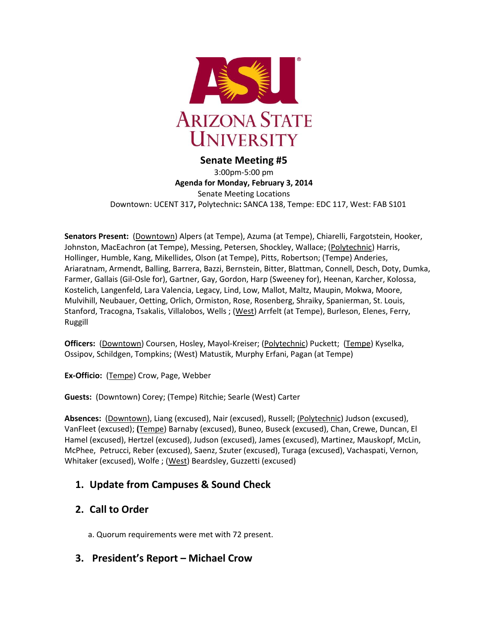

#### **Senate Meeting #5**

3:00pm-5:00 pm **Agenda for Monday, February 3, 2014** Senate Meeting Locations Downtown: UCENT 317**,** Polytechnic**:** SANCA 138, Tempe: EDC 117, West: FAB S101

**Senators Present:** (Downtown) Alpers (at Tempe), Azuma (at Tempe), Chiarelli, Fargotstein, Hooker, Johnston, MacEachron (at Tempe), Messing, Petersen, Shockley, Wallace; (Polytechnic) Harris, Hollinger, Humble, Kang, Mikellides, Olson (at Tempe), Pitts, Robertson; (Tempe) Anderies, Ariaratnam, Armendt, Balling, Barrera, Bazzi, Bernstein, Bitter, Blattman, Connell, Desch, Doty, Dumka, Farmer, Gallais (Gil-Osle for), Gartner, Gay, Gordon, Harp (Sweeney for), Heenan, Karcher, Kolossa, Kostelich, Langenfeld, Lara Valencia, Legacy, Lind, Low, Mallot, Maltz, Maupin, Mokwa, Moore, Mulvihill, Neubauer, Oetting, Orlich, Ormiston, Rose, Rosenberg, Shraiky, Spanierman, St. Louis, Stanford, Tracogna, Tsakalis, Villalobos, Wells ; (West) Arrfelt (at Tempe), Burleson, Elenes, Ferry, Ruggill

**Officers:** (Downtown) Coursen, Hosley, Mayol-Kreiser; (Polytechnic) Puckett; (Tempe) Kyselka, Ossipov, Schildgen, Tompkins; (West) Matustik, Murphy Erfani, Pagan (at Tempe)

**Ex-Officio:** (Tempe) Crow, Page, Webber

**Guests:** (Downtown) Corey; (Tempe) Ritchie; Searle (West) Carter

**Absences:** (Downtown), Liang (excused), Nair (excused), Russell; (Polytechnic) Judson (excused), VanFleet (excused); **(**Tempe) Barnaby (excused), Buneo, Buseck (excused), Chan, Crewe, Duncan, El Hamel (excused), Hertzel (excused), Judson (excused), James (excused), Martinez, Mauskopf, McLin, McPhee, Petrucci, Reber (excused), Saenz, Szuter (excused), Turaga (excused), Vachaspati, Vernon, Whitaker (excused), Wolfe ; (West) Beardsley, Guzzetti (excused)

## **1. Update from Campuses & Sound Check**

## **2. Call to Order**

a. Quorum requirements were met with 72 present.

## **3. President's Report – Michael Crow**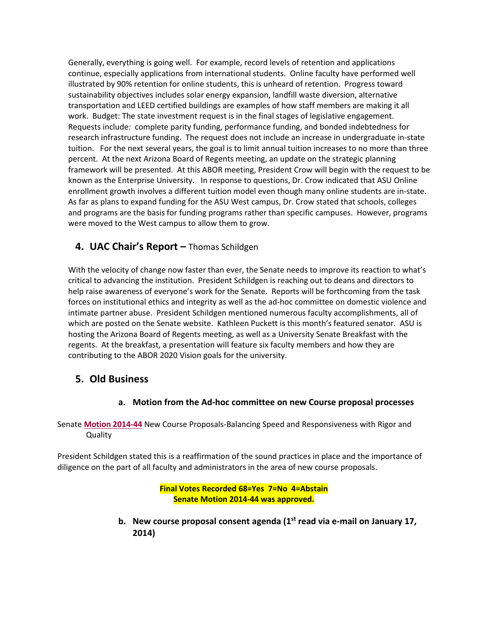Generally, everything is going well. For example, record levels of retention and applications continue, especially applications from international students. Online faculty have performed well illustrated by 90% retention for online students, this is unheard of retention. Progress toward sustainability objectives includes solar energy expansion, landfill waste diversion, alternative transportation and LEED certified buildings are examples of how staff members are making it all work. Budget: The state investment request is in the final stages of legislative engagement. Requests include: complete parity funding, performance funding, and bonded indebtedness for research infrastructure funding. The request does not include an increase in undergraduate in-state tuition. For the next several years, the goal is to limit annual tuition increases to no more than three percent. At the next Arizona Board of Regents meeting, an update on the strategic planning framework will be presented. At this ABOR meeting, President Crow will begin with the request to be known as the Enterprise University. In response to questions, Dr. Crow indicated that ASU Online enrollment growth involves a different tuition model even though many online students are in-state. As far as plans to expand funding for the ASU West campus, Dr. Crow stated that schools, colleges and programs are the basis for funding programs rather than specific campuses. However, programs were moved to the West campus to allow them to grow.

# **4. UAC Chair's Report –** Thomas Schildgen

With the velocity of change now faster than ever, the Senate needs to improve its reaction to what's critical to advancing the institution. President Schildgen is reaching out to deans and directors to help raise awareness of everyone's work for the Senate. Reports will be forthcoming from the task forces on institutional ethics and integrity as well as the ad-hoc committee on domestic violence and intimate partner abuse. President Schildgen mentioned numerous faculty accomplishments, all of which are posted on the Senate website. Kathleen Puckett is this month's featured senator. ASU is hosting the Arizona Board of Regents meeting, as well as a University Senate Breakfast with the regents. At the breakfast, a presentation will feature six faculty members and how they are contributing to the ABOR 2020 Vision goals for the university.

# **5. Old Business**

#### **a. Motion from the Ad-hoc committee on new Course proposal processes**

Senate **[Motion 2014-44](http://usenate.asu.edu/node/4864)** New Course Proposals-Balancing Speed and Responsiveness with Rigor and **Quality** 

President Schildgen stated this is a reaffirmation of the sound practices in place and the importance of diligence on the part of all faculty and administrators in the area of new course proposals.

#### **Final Votes Recorded 68=Yes 7=No 4=Abstain Senate Motion 2014-44 was approved.**

**b. New course proposal consent agenda (1st read via e-mail on January 17, 2014)**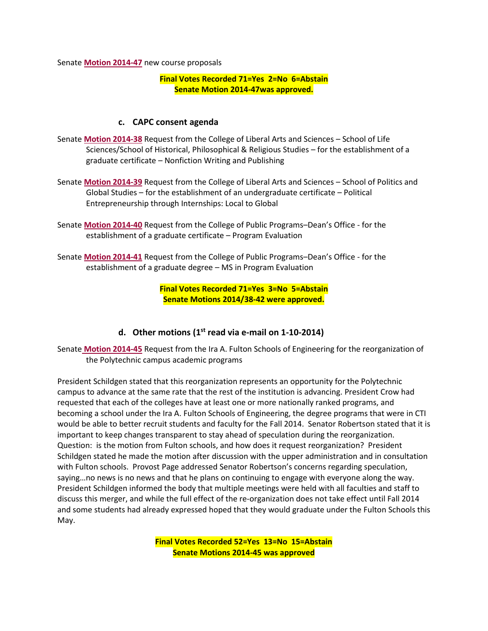Senate **[Motion 2014-47](http://usenate.asu.edu/node/4883)** new course proposals

#### **Final Votes Recorded 71=Yes 2=No 6=Abstain Senate Motion 2014-47was approved.**

#### **c. CAPC consent agenda**

- Senate **[Motion 2014-38](http://usenate.asu.edu/node/4852)** Request from the College of Liberal Arts and Sciences School of Life Sciences/School of Historical, Philosophical & Religious Studies – for the establishment of a graduate certificate – Nonfiction Writing and Publishing
- Senate **[Motion 2014-39](http://usenate.asu.edu/node/4853)** Request from the College of Liberal Arts and Sciences School of Politics and Global Studies – for the establishment of an undergraduate certificate – Political Entrepreneurship through Internships: Local to Global
- Senate **[Motion 2014-40](http://usenate.asu.edu/node/4854)** Request from the College of Public Programs–Dean's Office for the establishment of a graduate certificate – Program Evaluation
- Senate **[Motion 2014-41](http://usenate.asu.edu/node/4855)** Request from the College of Public Programs–Dean's Office for the establishment of a graduate degree – MS in Program Evaluation

**Final Votes Recorded 71=Yes 3=No 5=Abstain Senate Motions 2014/38-42 were approved.**

#### **d. Other motions (1st read via e-mail on 1-10-2014)**

Senate **[Motion 2014-45](http://usenate.asu.edu/node/4880)** Request from the Ira A. Fulton Schools of Engineering for the reorganization of the Polytechnic campus academic programs

President Schildgen stated that this reorganization represents an opportunity for the Polytechnic campus to advance at the same rate that the rest of the institution is advancing. President Crow had requested that each of the colleges have at least one or more nationally ranked programs, and becoming a school under the Ira A. Fulton Schools of Engineering, the degree programs that were in CTI would be able to better recruit students and faculty for the Fall 2014. Senator Robertson stated that it is important to keep changes transparent to stay ahead of speculation during the reorganization. Question: is the motion from Fulton schools, and how does it request reorganization? President Schildgen stated he made the motion after discussion with the upper administration and in consultation with Fulton schools. Provost Page addressed Senator Robertson's concerns regarding speculation, saying…no news is no news and that he plans on continuing to engage with everyone along the way. President Schildgen informed the body that multiple meetings were held with all faculties and staff to discuss this merger, and while the full effect of the re-organization does not take effect until Fall 2014 and some students had already expressed hoped that they would graduate under the Fulton Schools this May.

> **Final Votes Recorded 52=Yes 13=No 15=Abstain Senate Motions 2014-45 was approved**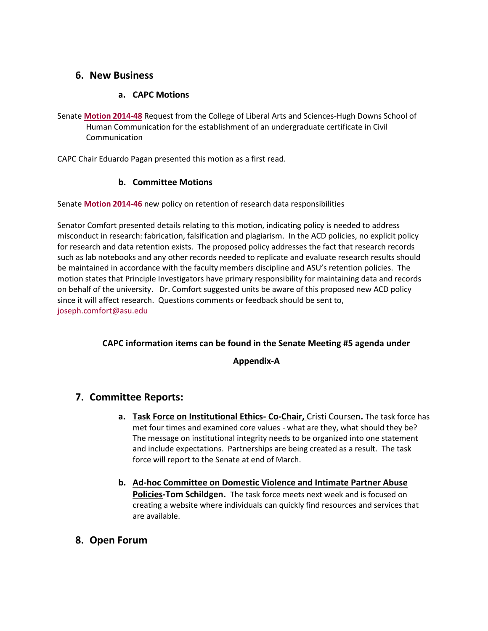## **6. New Business**

### **a. CAPC Motions**

Senate **[Motion 2014-48](http://usenate.asu.edu/node/4884)** Request from the College of Liberal Arts and Sciences-Hugh Downs School of Human Communication for the establishment of an undergraduate certificate in Civil Communication

CAPC Chair Eduardo Pagan presented this motion as a first read.

### **b. Committee Motions**

Senate **[Motion 2014-46](http://usenate.asu.edu/node/4882)** new policy on retention of research data responsibilities

Senator Comfort presented details relating to this motion, indicating policy is needed to address misconduct in research: fabrication, falsification and plagiarism. In the ACD policies, no explicit policy for research and data retention exists. The proposed policy addresses the fact that research records such as lab notebooks and any other records needed to replicate and evaluate research results should be maintained in accordance with the faculty members discipline and ASU's retention policies. The motion states that Principle Investigators have primary responsibility for maintaining data and records on behalf of the university. Dr. Comfort suggested units be aware of this proposed new ACD policy since it will affect research. Questions comments or feedback should be sent to, [joseph.comfort@asu.edu](mailto:joseph.comfort@asu.edu)

#### **CAPC information items can be found in the Senate Meeting #5 agenda under**

**Appendix-A**

## **7. Committee Reports:**

- **a. Task Force on Institutional Ethics- Co-Chair,** Cristi Coursen**.** The task force has met four times and examined core values - what are they, what should they be? The message on institutional integrity needs to be organized into one statement and include expectations. Partnerships are being created as a result. The task force will report to the Senate at end of March.
- **b. Ad-hoc Committee on Domestic Violence and Intimate Partner Abuse Policies-Tom Schildgen.** The task force meets next week and is focused on creating a website where individuals can quickly find resources and services that are available.
- **8. Open Forum**